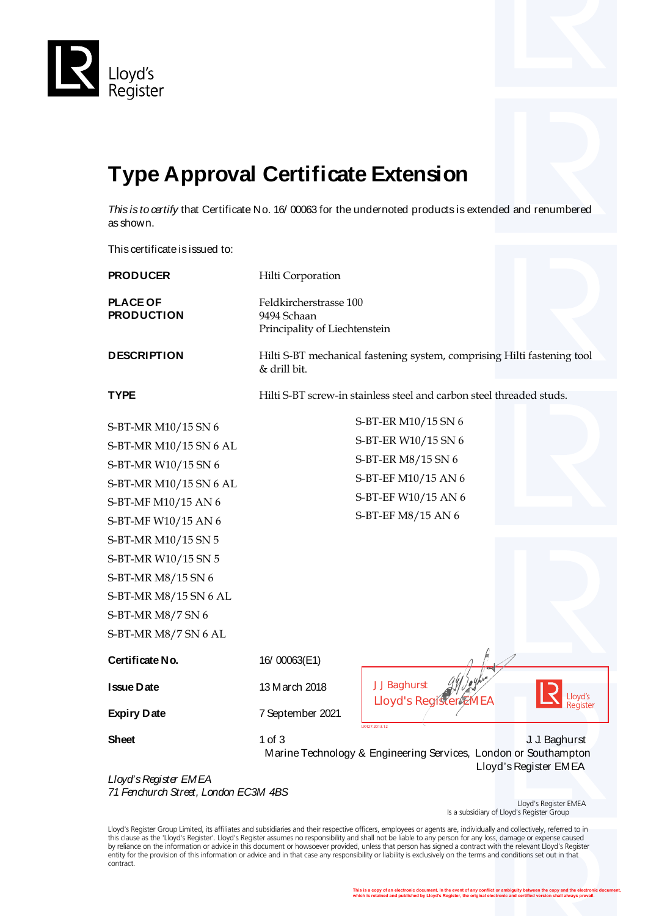

## **Type Approval Certificate Extension**

*This is to certify* that Certificate No. 16/ 00063 for the undernoted products is extended and renumbered as shown.

This certificate is issued to:

| <b>PRODUCER</b>                                                                                                                                                                                                                                                                        | Hilti Corporation                                                                       |                                                                                                                                      |  |                                       |
|----------------------------------------------------------------------------------------------------------------------------------------------------------------------------------------------------------------------------------------------------------------------------------------|-----------------------------------------------------------------------------------------|--------------------------------------------------------------------------------------------------------------------------------------|--|---------------------------------------|
| <b>PLACE OF</b><br><b>PRODUCTION</b>                                                                                                                                                                                                                                                   | Feldkircherstrasse 100<br>9494 Schaan<br>Principality of Liechtenstein                  |                                                                                                                                      |  |                                       |
| <b>DESCRIPTION</b>                                                                                                                                                                                                                                                                     | Hilti S-BT mechanical fastening system, comprising Hilti fastening tool<br>& drill bit. |                                                                                                                                      |  |                                       |
| <b>TYPE</b>                                                                                                                                                                                                                                                                            | Hilti S-BT screw-in stainless steel and carbon steel threaded studs.                    |                                                                                                                                      |  |                                       |
| S-BT-MR M10/15 SN 6<br>S-BT-MR M10/15 SN 6 AL<br>S-BT-MR W10/15 SN 6<br>S-BT-MR M10/15 SN 6 AL<br>S-BT-MF M10/15 AN 6<br>S-BT-MF W10/15 AN 6<br>S-BT-MR M10/15 SN 5<br>S-BT-MR W10/15 SN 5<br>S-BT-MR M8/15 SN 6<br>S-BT-MR M8/15 SN 6 AL<br>S-BT-MR M8/7 SN 6<br>S-BT-MR M8/7 SN 6 AL |                                                                                         | S-BT-ER M10/15 SN 6<br>S-BT-ER W10/15 SN 6<br>S-BT-ER M8/15 SN 6<br>S-BT-EF M10/15 AN 6<br>S-BT-EF W10/15 AN 6<br>S-BT-EF M8/15 AN 6 |  |                                       |
| Certificate No.                                                                                                                                                                                                                                                                        | 16/00063(E1)                                                                            |                                                                                                                                      |  |                                       |
| <b>Issue Date</b>                                                                                                                                                                                                                                                                      | 13 March 2018                                                                           | J J Baghurst<br>Lloyd's Register EMEA                                                                                                |  | Lloyd's<br>Register                   |
| <b>Expiry Date</b>                                                                                                                                                                                                                                                                     | 7 September 2021                                                                        | LR427.2013.12                                                                                                                        |  |                                       |
| <b>Sheet</b>                                                                                                                                                                                                                                                                           | $1$ of $3$                                                                              | Marine Technology & Engineering Services, London or Southampton                                                                      |  | J J Baghurst<br>Lloyd's Register EMEA |
|                                                                                                                                                                                                                                                                                        |                                                                                         |                                                                                                                                      |  |                                       |

*Lloyd's Register EMEA 71 Fenchurch Street, London EC3M 4BS*

 Lloyd's Register EMEA Is a subsidiary of Lloyd's Register Group

Lloyd's Register Group Limited, its affiliates and subsidiaries and their respective officers, employees or agents are, individually and collectively, referred to in this clause as the 'Lloyd's Register'. Lloyd's Register assumes no responsibility and shall not be liable to any person for any loss, damage or expense caused<br>by reliance on the information or advice in this document or ho entity for the provision of this information or advice and in that case any responsibility or liability is exclusively on the terms and conditions set out in that contract.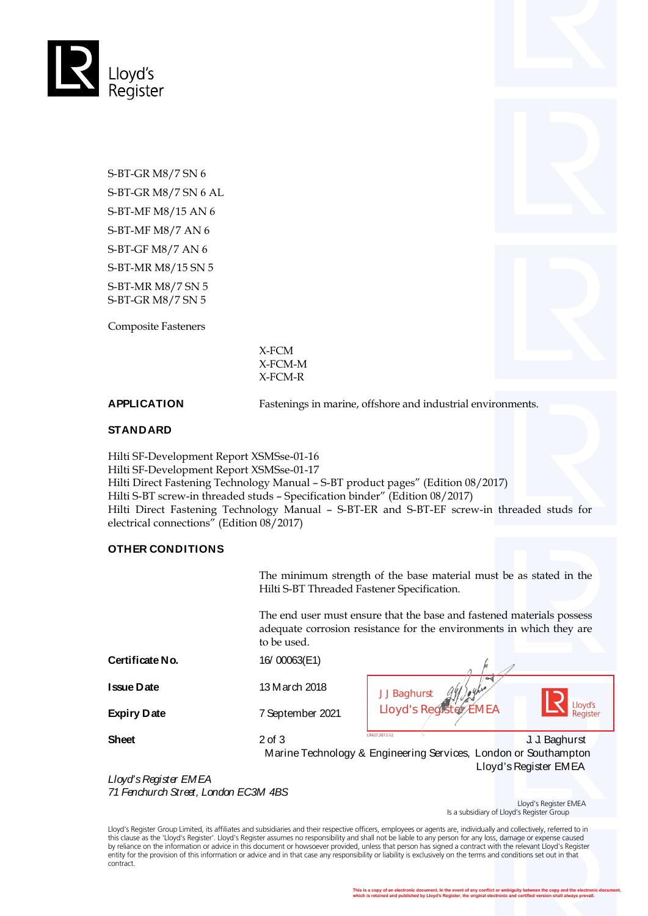

S-BT-GR M8/7 SN 6 S-BT-GR M8/7 SN 6 AL S-BT-MF M8/15 AN 6 S-BT-MF M8/7 AN 6 S-BT-GF M8/7 AN 6 S-BT-MR M8/15 SN 5 S-BT-MR M8/7 SN 5 S-BT-GR M8/7 SN 5

Composite Fasteners

X-FCM X-FCM-M X-FCM-R

**APPLICATION** Fastenings in marine, offshore and industrial environments.

## **STANDARD**

Hilti SF-Development Report XSMSse-01-16 Hilti SF-Development Report XSMSse-01-17 Hilti Direct Fastening Technology Manual – S-BT product pages" (Edition 08/2017) Hilti S-BT screw-in threaded studs – Specification binder" (Edition 08/2017) Hilti Direct Fastening Technology Manual – S-BT-ER and S-BT-EF screw-in threaded studs for electrical connections" (Edition 08/2017)

## **OTHER CONDITIONS**

 The minimum strength of the base material must be as stated in the Hilti S-BT Threaded Fastener Specification.

The end user must ensure that the base and fastened materials possess adequate corrosion resistance for the environments in which they are to be used.

**Certificate No.** 16/ 00063(E1)

**Issue Date** 13 March 2018

**Expiry Date** 7 September 2021

**Landal J J Baghurst Lloyd's Register** 



**Sheet** 2 of 3 J. J. Baghurst Marine Technology & Engineering Services, London or Southampton Lloyd's Register EMEA

*Lloyd's Register EMEA 71 Fenchurch Street, London EC3M 4BS*

 Lloyd's Register EMEA Is a subsidiary of Lloyd's Register Group

Lloyd's Register Group Limited, its affiliates and subsidiaries and their respective officers, employees or agents are, individually and collectively, referred to in this clause as the 'Lloyd's Register'. Lloyd's Register assumes no responsibility and shall not be liable to any person for any loss, damage or expense caused<br>by reliance on the information or advice in this document or ho entity for the provision of this information or advice and in that case any responsibility or liability is exclusively on the terms and conditions set out in that contract.